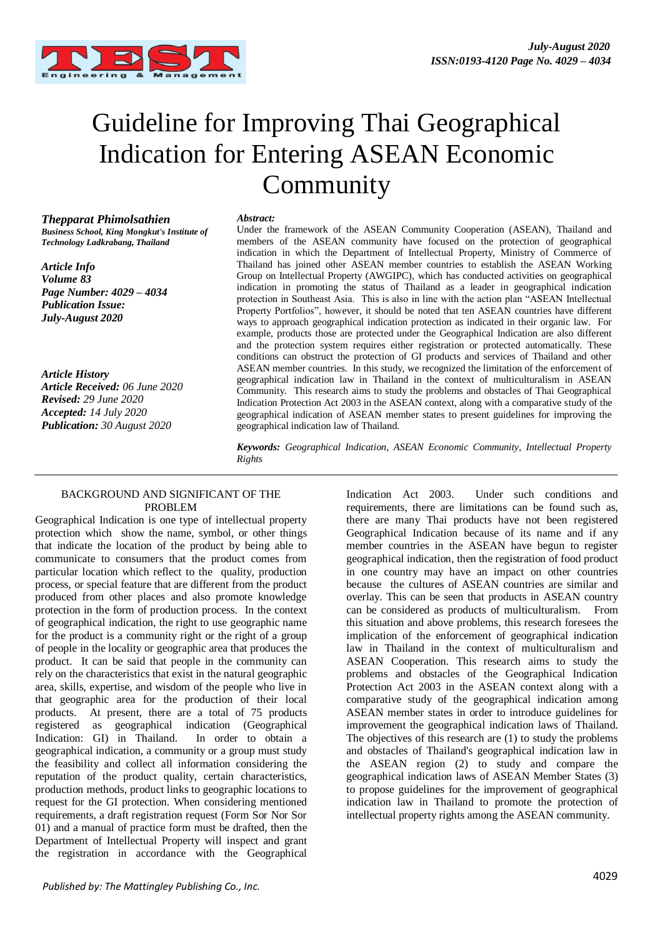

# Guideline for Improving Thai Geographical Indication for Entering ASEAN Economic Community

*Thepparat Phimolsathien Business School, King Mongkut's Institute of Technology Ladkrabang, Thailand*

*Article Info Volume 83 Page Number: 4029 – 4034 Publication Issue: July-August 2020*

*Article History Article Received: 06 June 2020 Revised: 29 June 2020 Accepted: 14 July 2020 Publication: 30 August 2020*

#### *Abstract:*

Under the framework of the ASEAN Community Cooperation (ASEAN), Thailand and members of the ASEAN community have focused on the protection of geographical indication in which the Department of Intellectual Property, Ministry of Commerce of Thailand has joined other ASEAN member countries to establish the ASEAN Working Group on Intellectual Property (AWGIPC), which has conducted activities on geographical indication in promoting the status of Thailand as a leader in geographical indication protection in Southeast Asia. This is also in line with the action plan "ASEAN Intellectual Property Portfolios", however, it should be noted that ten ASEAN countries have different ways to approach geographical indication protection as indicated in their organic law. For example, products those are protected under the Geographical Indication are also different and the protection system requires either registration or protected automatically. These conditions can obstruct the protection of GI products and services of Thailand and other ASEAN member countries. In this study, we recognized the limitation of the enforcement of geographical indication law in Thailand in the context of multiculturalism in ASEAN Community. This research aims to study the problems and obstacles of Thai Geographical Indication Protection Act 2003 in the ASEAN context, along with a comparative study of the geographical indication of ASEAN member states to present guidelines for improving the geographical indication law of Thailand.

*Keywords: Geographical Indication, ASEAN Economic Community, Intellectual Property Rights*

# BACKGROUND AND SIGNIFICANT OF THE PROBLEM

Geographical Indication is one type of intellectual property protection which show the name, symbol, or other things that indicate the location of the product by being able to communicate to consumers that the product comes from particular location which reflect to the quality, production process, or special feature that are different from the product produced from other places and also promote knowledge protection in the form of production process. In the context of geographical indication, the right to use geographic name for the product is a community right or the right of a group of people in the locality or geographic area that produces the product. It can be said that people in the community can rely on the characteristics that exist in the natural geographic area, skills, expertise, and wisdom of the people who live in that geographic area for the production of their local products. At present, there are a total of 75 products registered as geographical indication (Geographical Indication: GI) in Thailand. In order to obtain a geographical indication, a community or a group must study the feasibility and collect all information considering the reputation of the product quality, certain characteristics, production methods, product links to geographic locations to request for the GI protection. When considering mentioned requirements, a draft registration request (Form Sor Nor Sor 01) and a manual of practice form must be drafted, then the Department of Intellectual Property will inspect and grant the registration in accordance with the Geographical

Indication Act 2003. Under such conditions and requirements, there are limitations can be found such as, there are many Thai products have not been registered Geographical Indication because of its name and if any member countries in the ASEAN have begun to register geographical indication, then the registration of food product in one country may have an impact on other countries because the cultures of ASEAN countries are similar and overlay. This can be seen that products in ASEAN country can be considered as products of multiculturalism. From this situation and above problems, this research foresees the implication of the enforcement of geographical indication law in Thailand in the context of multiculturalism and ASEAN Cooperation. This research aims to study the problems and obstacles of the Geographical Indication Protection Act 2003 in the ASEAN context along with a comparative study of the geographical indication among ASEAN member states in order to introduce guidelines for improvement the geographical indication laws of Thailand. The objectives of this research are (1) to study the problems and obstacles of Thailand's geographical indication law in the ASEAN region (2) to study and compare the geographical indication laws of ASEAN Member States (3) to propose guidelines for the improvement of geographical indication law in Thailand to promote the protection of intellectual property rights among the ASEAN community.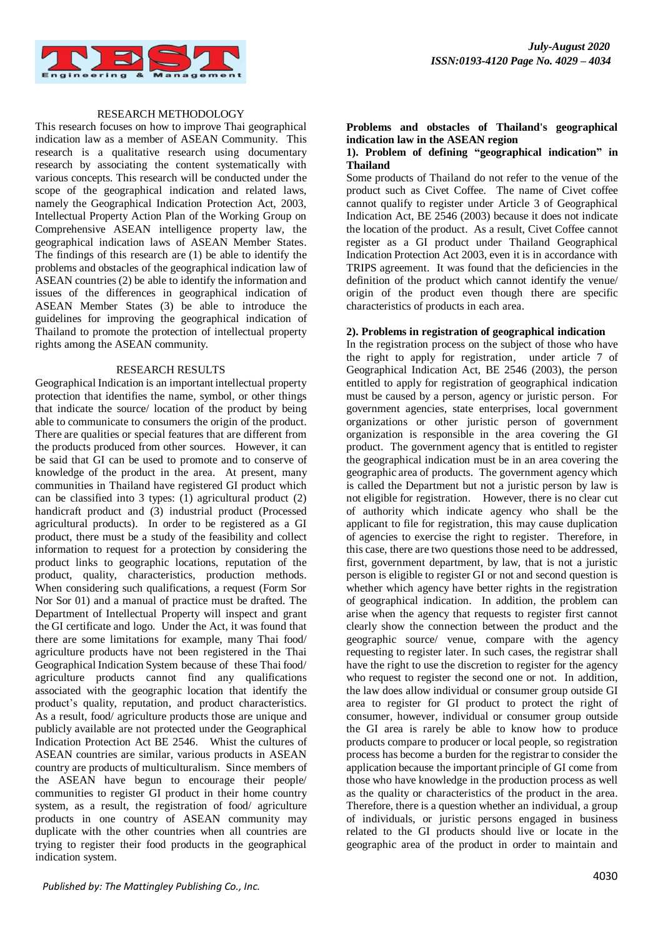

# RESEARCH METHODOLOGY

This research focuses on how to improve Thai geographical indication law as a member of ASEAN Community. This research is a qualitative research using documentary research by associating the content systematically with various concepts. This research will be conducted under the scope of the geographical indication and related laws, namely the Geographical Indication Protection Act, 2003, Intellectual Property Action Plan of the Working Group on Comprehensive ASEAN intelligence property law, the geographical indication laws of ASEAN Member States. The findings of this research are (1) be able to identify the problems and obstacles of the geographical indication law of ASEAN countries (2) be able to identify the information and issues of the differences in geographical indication of ASEAN Member States (3) be able to introduce the guidelines for improving the geographical indication of Thailand to promote the protection of intellectual property rights among the ASEAN community.

#### RESEARCH RESULTS

Geographical Indication is an important intellectual property protection that identifies the name, symbol, or other things that indicate the source/ location of the product by being able to communicate to consumers the origin of the product. There are qualities or special features that are different from the products produced from other sources. However, it can be said that GI can be used to promote and to conserve of knowledge of the product in the area. At present, many communities in Thailand have registered GI product which can be classified into 3 types: (1) agricultural product (2) handicraft product and (3) industrial product (Processed agricultural products). In order to be registered as a GI product, there must be a study of the feasibility and collect information to request for a protection by considering the product links to geographic locations, reputation of the product, quality, characteristics, production methods. When considering such qualifications, a request (Form Sor Nor Sor 01) and a manual of practice must be drafted. The Department of Intellectual Property will inspect and grant the GI certificate and logo. Under the Act, it was found that there are some limitations for example, many Thai food/ agriculture products have not been registered in the Thai Geographical Indication System because of these Thai food/ agriculture products cannot find any qualifications associated with the geographic location that identify the product's quality, reputation, and product characteristics. As a result, food/ agriculture products those are unique and publicly available are not protected under the Geographical Indication Protection Act BE 2546. Whist the cultures of ASEAN countries are similar, various products in ASEAN country are products of multiculturalism. Since members of the ASEAN have begun to encourage their people/ communities to register GI product in their home country system, as a result, the registration of food/ agriculture products in one country of ASEAN community may duplicate with the other countries when all countries are trying to register their food products in the geographical indication system.

# **Problems and obstacles of Thailand's geographical indication law in the ASEAN region**

## **1). Problem of defining "geographical indication" in Thailand**

Some products of Thailand do not refer to the venue of the product such as Civet Coffee. The name of Civet coffee cannot qualify to register under Article 3 of Geographical Indication Act, BE 2546 (2003) because it does not indicate the location of the product. As a result, Civet Coffee cannot register as a GI product under Thailand Geographical Indication Protection Act 2003, even it is in accordance with TRIPS agreement. It was found that the deficiencies in the definition of the product which cannot identify the venue/ origin of the product even though there are specific characteristics of products in each area.

## **2). Problems in registration of geographical indication**

In the registration process on the subject of those who have the right to apply for registration, under article 7 of Geographical Indication Act, BE 2546 (2003), the person entitled to apply for registration of geographical indication must be caused by a person, agency or juristic person. For government agencies, state enterprises, local government organizations or other juristic person of government organization is responsible in the area covering the GI product. The government agency that is entitled to register the geographical indication must be in an area covering the geographic area of products. The government agency which is called the Department but not a juristic person by law is not eligible for registration. However, there is no clear cut of authority which indicate agency who shall be the applicant to file for registration, this may cause duplication of agencies to exercise the right to register. Therefore, in this case, there are two questions those need to be addressed, first, government department, by law, that is not a juristic person is eligible to register GI or not and second question is whether which agency have better rights in the registration of geographical indication. In addition, the problem can arise when the agency that requests to register first cannot clearly show the connection between the product and the geographic source/ venue, compare with the agency requesting to register later. In such cases, the registrar shall have the right to use the discretion to register for the agency who request to register the second one or not. In addition, the law does allow individual or consumer group outside GI area to register for GI product to protect the right of consumer, however, individual or consumer group outside the GI area is rarely be able to know how to produce products compare to producer or local people, so registration process has become a burden for the registrar to consider the application because the important principle of GI come from those who have knowledge in the production process as well as the quality or characteristics of the product in the area. Therefore, there is a question whether an individual, a group of individuals, or juristic persons engaged in business related to the GI products should live or locate in the geographic area of the product in order to maintain and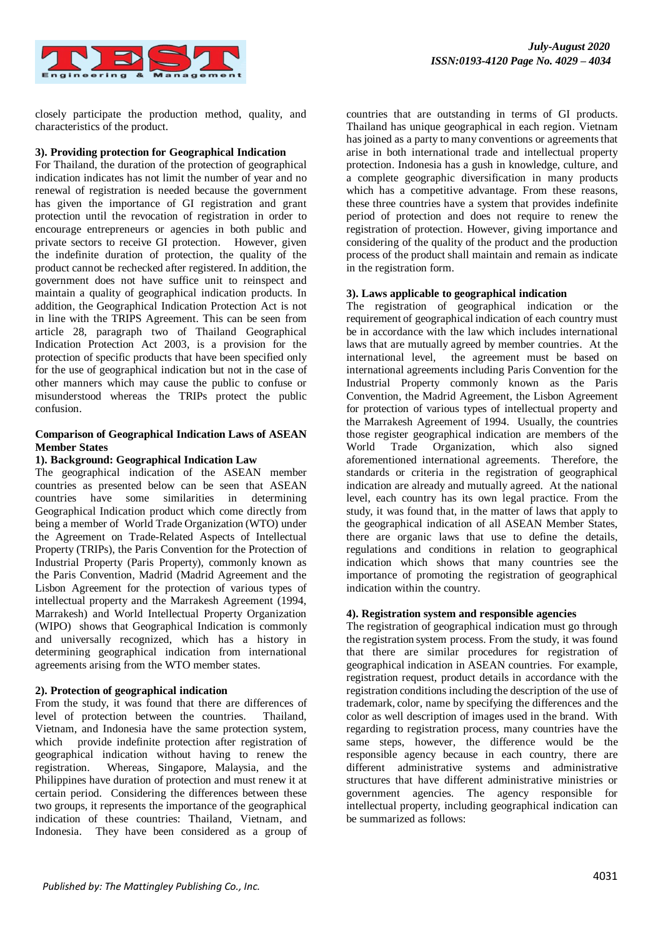

closely participate the production method, quality, and characteristics of the product.

## **3). Providing protection for Geographical Indication**

For Thailand, the duration of the protection of geographical indication indicates has not limit the number of year and no renewal of registration is needed because the government has given the importance of GI registration and grant protection until the revocation of registration in order to encourage entrepreneurs or agencies in both public and private sectors to receive GI protection. However, given the indefinite duration of protection, the quality of the product cannot be rechecked after registered. In addition, the government does not have suffice unit to reinspect and maintain a quality of geographical indication products. In addition, the Geographical Indication Protection Act is not in line with the TRIPS Agreement. This can be seen from article 28, paragraph two of Thailand Geographical Indication Protection Act 2003, is a provision for the protection of specific products that have been specified only for the use of geographical indication but not in the case of other manners which may cause the public to confuse or misunderstood whereas the TRIPs protect the public confusion.

## **Comparison of Geographical Indication Laws of ASEAN Member States**

## **1). Background: Geographical Indication Law**

The geographical indication of the ASEAN member countries as presented below can be seen that ASEAN countries have some similarities in determining Geographical Indication product which come directly from being a member of World Trade Organization (WTO) under the Agreement on Trade-Related Aspects of Intellectual Property (TRIPs), the Paris Convention for the Protection of Industrial Property (Paris Property), commonly known as the Paris Convention, Madrid (Madrid Agreement and the Lisbon Agreement for the protection of various types of intellectual property and the Marrakesh Agreement (1994, Marrakesh) and World Intellectual Property Organization (WIPO) shows that Geographical Indication is commonly and universally recognized, which has a history in determining geographical indication from international agreements arising from the WTO member states.

#### **2). Protection of geographical indication**

From the study, it was found that there are differences of level of protection between the countries. Thailand, Vietnam, and Indonesia have the same protection system, which provide indefinite protection after registration of geographical indication without having to renew the registration. Whereas, Singapore, Malaysia, and the Philippines have duration of protection and must renew it at certain period. Considering the differences between these two groups, it represents the importance of the geographical indication of these countries: Thailand, Vietnam, and Indonesia. They have been considered as a group of countries that are outstanding in terms of GI products. Thailand has unique geographical in each region. Vietnam has joined as a party to many conventions or agreements that arise in both international trade and intellectual property protection. Indonesia has a gush in knowledge, culture, and a complete geographic diversification in many products which has a competitive advantage. From these reasons, these three countries have a system that provides indefinite period of protection and does not require to renew the registration of protection. However, giving importance and considering of the quality of the product and the production process of the product shall maintain and remain as indicate in the registration form.

## **3). Laws applicable to geographical indication**

The registration of geographical indication or the requirement of geographical indication of each country must be in accordance with the law which includes international laws that are mutually agreed by member countries. At the international level, the agreement must be based on international agreements including Paris Convention for the Industrial Property commonly known as the Paris Convention, the Madrid Agreement, the Lisbon Agreement for protection of various types of intellectual property and the Marrakesh Agreement of 1994. Usually, the countries those register geographical indication are members of the World Trade Organization, which also signed aforementioned international agreements. Therefore, the standards or criteria in the registration of geographical indication are already and mutually agreed. At the national level, each country has its own legal practice. From the study, it was found that, in the matter of laws that apply to the geographical indication of all ASEAN Member States, there are organic laws that use to define the details, regulations and conditions in relation to geographical indication which shows that many countries see the importance of promoting the registration of geographical indication within the country.

# **4). Registration system and responsible agencies**

The registration of geographical indication must go through the registration system process. From the study, it was found that there are similar procedures for registration of geographical indication in ASEAN countries. For example, registration request, product details in accordance with the registration conditions including the description of the use of trademark, color, name by specifying the differences and the color as well description of images used in the brand. With regarding to registration process, many countries have the same steps, however, the difference would be the responsible agency because in each country, there are different administrative systems and administrative structures that have different administrative ministries or government agencies. The agency responsible for intellectual property, including geographical indication can be summarized as follows: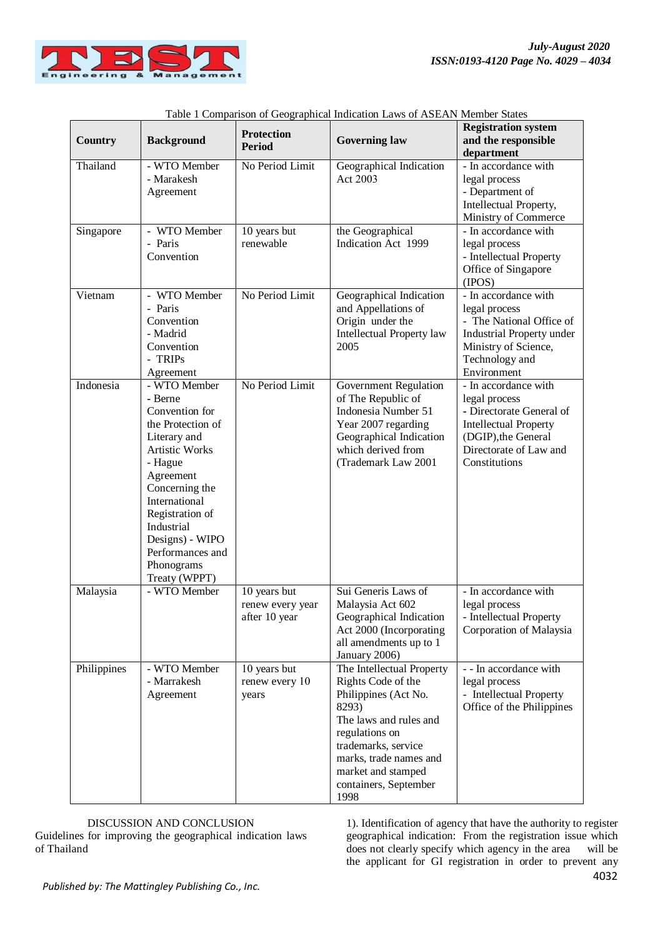

| Country     | <b>Background</b>                                                                                                                                                                                                                                                         | <b>Protection</b><br><b>Period</b>                | <b>Governing law</b>                                                                                                                                                                                                                 | <b>Registration system</b><br>and the responsible<br>department                                                                                                     |
|-------------|---------------------------------------------------------------------------------------------------------------------------------------------------------------------------------------------------------------------------------------------------------------------------|---------------------------------------------------|--------------------------------------------------------------------------------------------------------------------------------------------------------------------------------------------------------------------------------------|---------------------------------------------------------------------------------------------------------------------------------------------------------------------|
| Thailand    | - WTO Member<br>- Marakesh<br>Agreement                                                                                                                                                                                                                                   | No Period Limit                                   | Geographical Indication<br>Act 2003                                                                                                                                                                                                  | - In accordance with<br>legal process<br>- Department of<br>Intellectual Property,<br>Ministry of Commerce                                                          |
| Singapore   | WTO Member<br>- Paris<br>Convention                                                                                                                                                                                                                                       | 10 years but<br>renewable                         | the Geographical<br>Indication Act 1999                                                                                                                                                                                              | - In accordance with<br>legal process<br>- Intellectual Property<br>Office of Singapore<br>(IPOS)                                                                   |
| Vietnam     | WTO Member<br>÷.<br>- Paris<br>Convention<br>- Madrid<br>Convention<br>- TRIPs<br>Agreement                                                                                                                                                                               | No Period Limit                                   | Geographical Indication<br>and Appellations of<br>Origin under the<br>Intellectual Property law<br>2005                                                                                                                              | - In accordance with<br>legal process<br>- The National Office of<br>Industrial Property under<br>Ministry of Science,<br>Technology and<br>Environment             |
| Indonesia   | - WTO Member<br>- Berne<br>Convention for<br>the Protection of<br>Literary and<br><b>Artistic Works</b><br>- Hague<br>Agreement<br>Concerning the<br>International<br>Registration of<br>Industrial<br>Designs) - WIPO<br>Performances and<br>Phonograms<br>Treaty (WPPT) | No Period Limit                                   | <b>Government Regulation</b><br>of The Republic of<br>Indonesia Number 51<br>Year 2007 regarding<br>Geographical Indication<br>which derived from<br>(Trademark Law 2001                                                             | - In accordance with<br>legal process<br>- Directorate General of<br><b>Intellectual Property</b><br>(DGIP), the General<br>Directorate of Law and<br>Constitutions |
| Malaysia    | - WTO Member                                                                                                                                                                                                                                                              | 10 years but<br>renew every year<br>after 10 year | Sui Generis Laws of<br>Malaysia Act 602<br>Geographical Indication<br>Act 2000 (Incorporating<br>all amendments up to 1<br>January 2006)                                                                                             | - In accordance with<br>legal process<br>- Intellectual Property<br>Corporation of Malaysia                                                                         |
| Philippines | - WTO Member<br>- Marrakesh<br>Agreement                                                                                                                                                                                                                                  | 10 years but<br>renew every 10<br>years           | The Intellectual Property<br>Rights Code of the<br>Philippines (Act No.<br>8293)<br>The laws and rules and<br>regulations on<br>trademarks, service<br>marks, trade names and<br>market and stamped<br>containers, September<br>1998 | - - In accordance with<br>legal process<br>- Intellectual Property<br>Office of the Philippines                                                                     |

| Table 1 Comparison of Geographical Indication Laws of ASEAN Member States |
|---------------------------------------------------------------------------|
|---------------------------------------------------------------------------|

DISCUSSION AND CONCLUSION Guidelines for improving the geographical indication laws of Thailand

1). Identification of agency that have the authority to register geographical indication: From the registration issue which does not clearly specify which agency in the area will be the applicant for GI registration in order to prevent any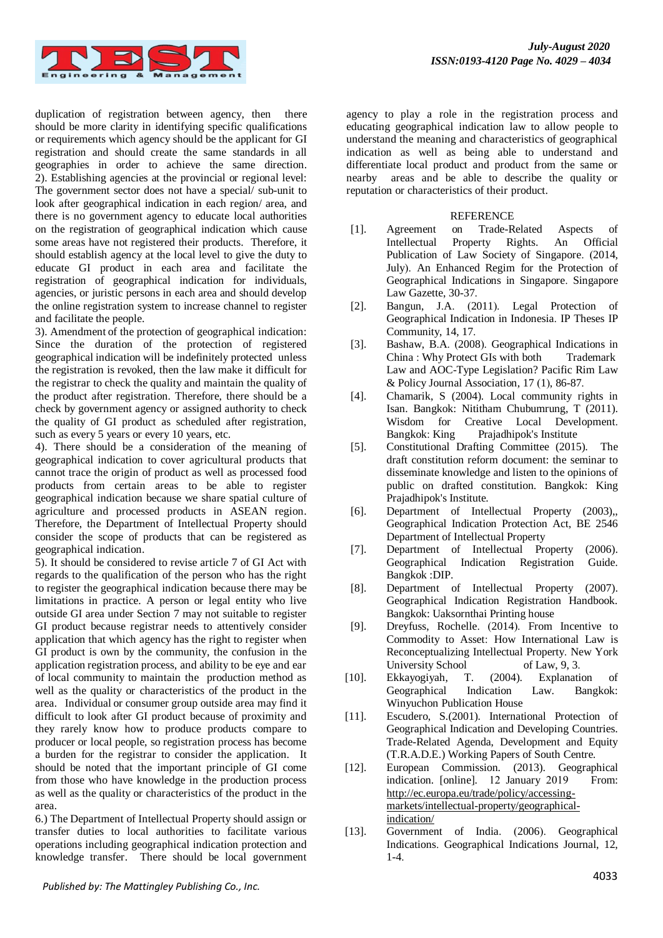

duplication of registration between agency, then there should be more clarity in identifying specific qualifications or requirements which agency should be the applicant for GI registration and should create the same standards in all geographies in order to achieve the same direction. 2). Establishing agencies at the provincial or regional level: The government sector does not have a special/ sub-unit to look after geographical indication in each region/ area, and there is no government agency to educate local authorities on the registration of geographical indication which cause some areas have not registered their products. Therefore, it should establish agency at the local level to give the duty to educate GI product in each area and facilitate the registration of geographical indication for individuals, agencies, or juristic persons in each area and should develop the online registration system to increase channel to register and facilitate the people.

3). Amendment of the protection of geographical indication: Since the duration of the protection of registered geographical indication will be indefinitely protected unless the registration is revoked, then the law make it difficult for the registrar to check the quality and maintain the quality of the product after registration. Therefore, there should be a check by government agency or assigned authority to check the quality of GI product as scheduled after registration, such as every 5 years or every 10 years, etc.

4). There should be a consideration of the meaning of geographical indication to cover agricultural products that cannot trace the origin of product as well as processed food products from certain areas to be able to register geographical indication because we share spatial culture of agriculture and processed products in ASEAN region. Therefore, the Department of Intellectual Property should consider the scope of products that can be registered as geographical indication.

5). It should be considered to revise article 7 of GI Act with regards to the qualification of the person who has the right to register the geographical indication because there may be limitations in practice. A person or legal entity who live outside GI area under Section 7 may not suitable to register GI product because registrar needs to attentively consider application that which agency has the right to register when GI product is own by the community, the confusion in the application registration process, and ability to be eye and ear of local community to maintain the production method as well as the quality or characteristics of the product in the area. Individual or consumer group outside area may find it difficult to look after GI product because of proximity and they rarely know how to produce products compare to producer or local people, so registration process has become a burden for the registrar to consider the application. It should be noted that the important principle of GI come from those who have knowledge in the production process as well as the quality or characteristics of the product in the area.

6.) The Department of Intellectual Property should assign or transfer duties to local authorities to facilitate various operations including geographical indication protection and knowledge transfer. There should be local government agency to play a role in the registration process and educating geographical indication law to allow people to understand the meaning and characteristics of geographical indication as well as being able to understand and differentiate local product and product from the same or nearby areas and be able to describe the quality or reputation or characteristics of their product.

# **REFERENCE**

- [1]. Agreement on Trade-Related Aspects of Intellectual Property Rights. An Official Publication of Law Society of Singapore. (2014, July). An Enhanced Regim for the Protection of Geographical Indications in Singapore. Singapore Law Gazette, 30-37.
- [2]. Bangun, J.A. (2011). Legal Protection of Geographical Indication in Indonesia. IP Theses IP Community, 14, 17.
- [3]. Bashaw, B.A. (2008). Geographical Indications in China : Why Protect GIs with both Trademark Law and AOC-Type Legislation? Pacific Rim Law & Policy Journal Association, 17 (1), 86-87.
- [4]. Chamarik, S (2004). Local community rights in Isan. Bangkok: Nititham Chubumrung, T (2011). Wisdom for Creative Local Development. Bangkok: King Prajadhipok's Institute
- [5]. Constitutional Drafting Committee (2015). The draft constitution reform document: the seminar to disseminate knowledge and listen to the opinions of public on drafted constitution. Bangkok: King Prajadhipok's Institute.
- [6]. Department of Intellectual Property (2003),, Geographical Indication Protection Act, BE 2546 Department of Intellectual Property
- [7]. Department of Intellectual Property (2006). Geographical Indication Registration Guide. Bangkok :DIP.
- [8]. Department of Intellectual Property (2007). Geographical Indication Registration Handbook. Bangkok: Uaksornthai Printing house
- [9]. Dreyfuss, Rochelle. (2014). From Incentive to Commodity to Asset: How International Law is Reconceptualizing Intellectual Property. New York University School of Law, 9, 3.<br>Ekkayogiyah, T. (2004). Explanation
- [10]. Ekkayogiyah, T. (2004). Explanation of Geographical Indication Law. Bangkok: Winyuchon Publication House
- [11]. Escudero, S.(2001). International Protection of Geographical Indication and Developing Countries. Trade-Related Agenda, Development and Equity (T.R.A.D.E.) Working Papers of South Centre.
- [12]. European Commission. (2013). Geographical indication. [online]. 12 January 2019 From: [http://ec.europa.eu/trade/policy/accessing](http://ec.europa.eu/trade/policy/accessing-markets/intellectual-property/geographical-indication/)[markets/intellectual-property/geographical](http://ec.europa.eu/trade/policy/accessing-markets/intellectual-property/geographical-indication/)[indication/](http://ec.europa.eu/trade/policy/accessing-markets/intellectual-property/geographical-indication/)
- [13]. Government of India. (2006). Geographical Indications. Geographical Indications Journal, 12, 1-4.